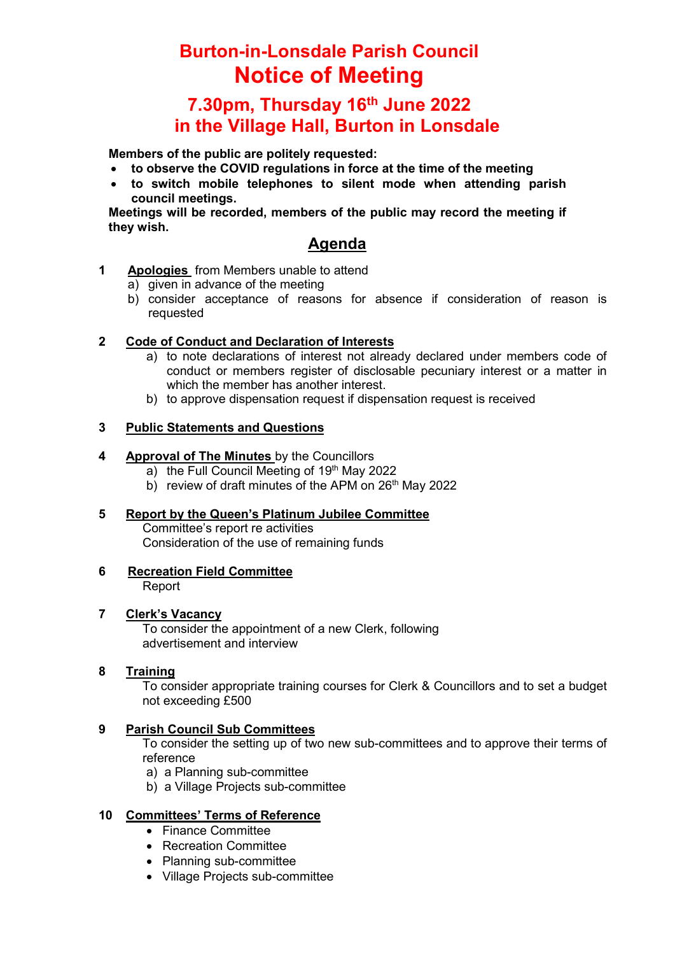## Burton-in-Lonsdale Parish Council Notice of Meeting

### 7.30pm, Thursday 16th June 2022 in the Village Hall, Burton in Lonsdale

Members of the public are politely requested:

- to observe the COVID regulations in force at the time of the meeting
- to switch mobile telephones to silent mode when attending parish council meetings.

Meetings will be recorded, members of the public may record the meeting if they wish.

### Agenda

- 1 Apologies from Members unable to attend
	- a) given in advance of the meeting
	- b) consider acceptance of reasons for absence if consideration of reason is requested

#### 2 Code of Conduct and Declaration of Interests

- a) to note declarations of interest not already declared under members code of conduct or members register of disclosable pecuniary interest or a matter in which the member has another interest.
- b) to approve dispensation request if dispensation request is received

#### 3 Public Statements and Questions

#### 4 Approval of The Minutes by the Councillors

- a) the Full Council Meeting of 19th May 2022
- b) review of draft minutes of the APM on  $26<sup>th</sup>$  May 2022
- 5 Report by the Queen's Platinum Jubilee Committee Committee's report re activities Consideration of the use of remaining funds

# 6 Recreation Field Committee

Report

#### 7 Clerk's Vacancy

To consider the appointment of a new Clerk, following advertisement and interview

#### 8 Training

To consider appropriate training courses for Clerk & Councillors and to set a budget not exceeding £500

#### 9 Parish Council Sub Committees

To consider the setting up of two new sub-committees and to approve their terms of reference

- a) a Planning sub-committee
- b) a Village Projects sub-committee

#### 10 Committees' Terms of Reference

- Finance Committee
- Recreation Committee
- Planning sub-committee
- Village Projects sub-committee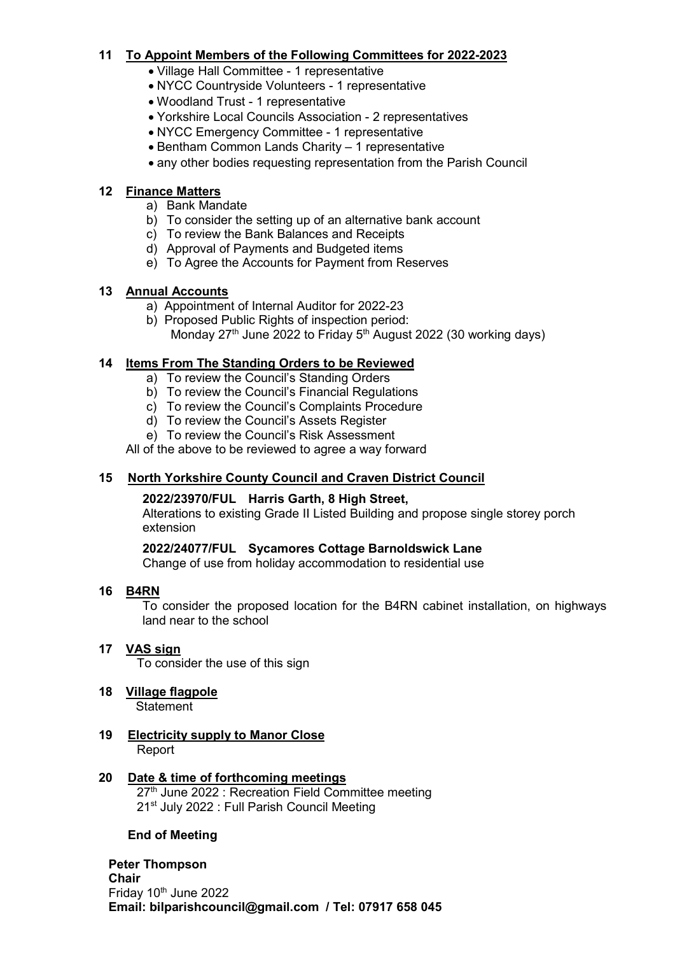#### 11 To Appoint Members of the Following Committees for 2022-2023

- Village Hall Committee 1 representative
- NYCC Countryside Volunteers 1 representative
- Woodland Trust 1 representative
- Yorkshire Local Councils Association 2 representatives
- NYCC Emergency Committee 1 representative
- Bentham Common Lands Charity 1 representative
- any other bodies requesting representation from the Parish Council

#### 12 Finance Matters

- a) Bank Mandate
- b) To consider the setting up of an alternative bank account
- c) To review the Bank Balances and Receipts
- d) Approval of Payments and Budgeted items
- e) To Agree the Accounts for Payment from Reserves

#### 13 Annual Accounts

- a) Appointment of Internal Auditor for 2022-23
- b) Proposed Public Rights of inspection period: Monday  $27<sup>th</sup>$  June 2022 to Friday  $5<sup>th</sup>$  August 2022 (30 working days)

#### 14 Items From The Standing Orders to be Reviewed

- a) To review the Council's Standing Orders
- b) To review the Council's Financial Regulations
- c) To review the Council's Complaints Procedure
- d) To review the Council's Assets Register
- e) To review the Council's Risk Assessment

All of the above to be reviewed to agree a way forward

#### 15 North Yorkshire County Council and Craven District Council

#### 2022/23970/FUL Harris Garth, 8 High Street,

Alterations to existing Grade II Listed Building and propose single storey porch extension

#### 2022/24077/FUL Sycamores Cottage Barnoldswick Lane

Change of use from holiday accommodation to residential use

#### 16 B4RN

To consider the proposed location for the B4RN cabinet installation, on highways land near to the school

#### 17 VAS sign

To consider the use of this sign

- 18 Village flagpole **Statement**
- 19 Electricity supply to Manor Close Report

## 20 Date & time of forthcoming meetings

27<sup>th</sup> June 2022 : Recreation Field Committee meeting 21<sup>st</sup> July 2022 : Full Parish Council Meeting

#### End of Meeting

#### Peter Thompson Chair Friday 10<sup>th</sup> June 2022 Email: bilparishcouncil@gmail.com / Tel: 07917 658 045